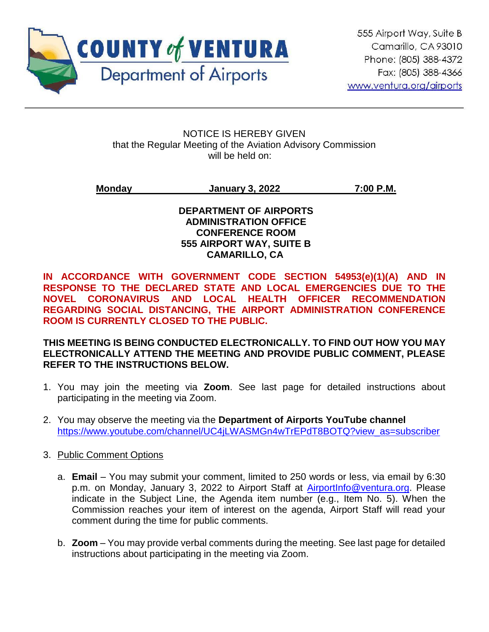

ֺ

NOTICE IS HEREBY GIVEN that the Regular Meeting of the Aviation Advisory Commission will be held on:

**Monday January 3, 2022 7:00 P.M.**

**DEPARTMENT OF AIRPORTS ADMINISTRATION OFFICE CONFERENCE ROOM 555 AIRPORT WAY, SUITE B CAMARILLO, CA**

**IN ACCORDANCE WITH GOVERNMENT CODE SECTION 54953(e)(1)(A) AND IN RESPONSE TO THE DECLARED STATE AND LOCAL EMERGENCIES DUE TO THE NOVEL CORONAVIRUS AND LOCAL HEALTH OFFICER RECOMMENDATION REGARDING SOCIAL DISTANCING, THE AIRPORT ADMINISTRATION CONFERENCE ROOM IS CURRENTLY CLOSED TO THE PUBLIC.** 

**THIS MEETING IS BEING CONDUCTED ELECTRONICALLY. TO FIND OUT HOW YOU MAY ELECTRONICALLY ATTEND THE MEETING AND PROVIDE PUBLIC COMMENT, PLEASE REFER TO THE INSTRUCTIONS BELOW.** 

- 1. You may join the meeting via **Zoom**. See last page for detailed instructions about participating in the meeting via Zoom.
- 2. You may observe the meeting via the **Department of Airports YouTube channel** https://www.youtube.com/channel/UC4iLWASMGn4wTrEPdT8BOTQ?view\_as=subscriber
- 3. Public Comment Options
	- a. **Email** You may submit your comment, limited to 250 words or less, via email by 6:30 p.m. on Monday, January 3, 2022 to Airport Staff at [AirportInfo@ventura.org.](mailto:AirportInfo@ventura.org) Please indicate in the Subject Line, the Agenda item number (e.g., Item No. 5). When the Commission reaches your item of interest on the agenda, Airport Staff will read your comment during the time for public comments.
	- b. **Zoom** You may provide verbal comments during the meeting. See last page for detailed instructions about participating in the meeting via Zoom.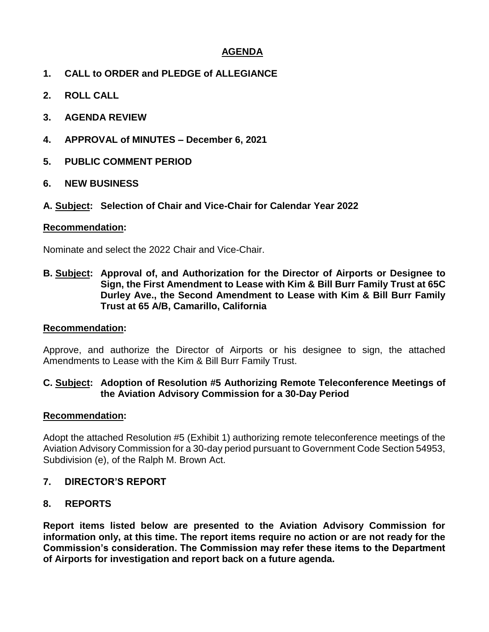# **AGENDA**

- **1. CALL to ORDER and PLEDGE of ALLEGIANCE**
- **2. ROLL CALL**
- **3. AGENDA REVIEW**
- **4. APPROVAL of MINUTES – December 6, 2021**
- **5. PUBLIC COMMENT PERIOD**
- **6. NEW BUSINESS**

#### **A. Subject: Selection of Chair and Vice-Chair for Calendar Year 2022**

#### **Recommendation:**

Nominate and select the 2022 Chair and Vice-Chair.

**B. Subject: Approval of, and Authorization for the Director of Airports or Designee to Sign, the First Amendment to Lease with Kim & Bill Burr Family Trust at 65C Durley Ave., the Second Amendment to Lease with Kim & Bill Burr Family Trust at 65 A/B, Camarillo, California**

#### **Recommendation:**

Approve, and authorize the Director of Airports or his designee to sign, the attached Amendments to Lease with the Kim & Bill Burr Family Trust.

#### **C. Subject: Adoption of Resolution #5 Authorizing Remote Teleconference Meetings of the Aviation Advisory Commission for a 30-Day Period**

#### **Recommendation:**

Adopt the attached Resolution #5 (Exhibit 1) authorizing remote teleconference meetings of the Aviation Advisory Commission for a 30-day period pursuant to Government Code Section 54953, Subdivision (e), of the Ralph M. Brown Act.

#### **7. DIRECTOR'S REPORT**

#### **8. REPORTS**

**Report items listed below are presented to the Aviation Advisory Commission for information only, at this time. The report items require no action or are not ready for the Commission's consideration. The Commission may refer these items to the Department of Airports for investigation and report back on a future agenda.**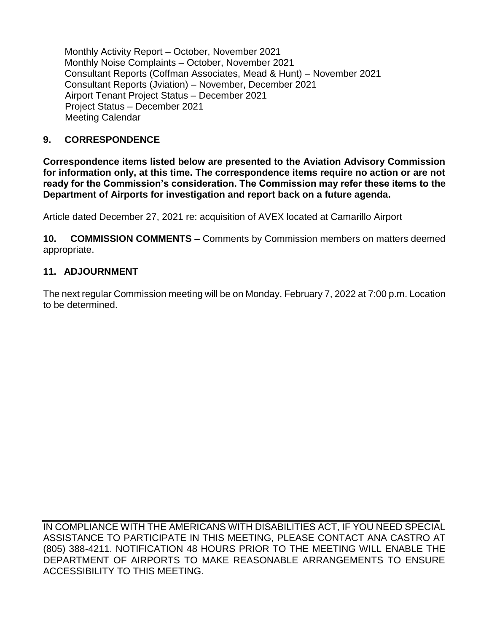Monthly Activity Report – October, November 2021 Monthly Noise Complaints – October, November 2021 Consultant Reports (Coffman Associates, Mead & Hunt) – November 2021 Consultant Reports (Jviation) – November, December 2021 Airport Tenant Project Status – December 2021 Project Status – December 2021 Meeting Calendar

# **9. CORRESPONDENCE**

**Correspondence items listed below are presented to the Aviation Advisory Commission for information only, at this time. The correspondence items require no action or are not ready for the Commission's consideration. The Commission may refer these items to the Department of Airports for investigation and report back on a future agenda.** 

Article dated December 27, 2021 re: acquisition of AVEX located at Camarillo Airport

**10. COMMISSION COMMENTS –** Comments by Commission members on matters deemed appropriate.

## **11. ADJOURNMENT**

The next regular Commission meeting will be on Monday, February 7, 2022 at 7:00 p.m. Location to be determined.

IN COMPLIANCE WITH THE AMERICANS WITH DISABILITIES ACT, IF YOU NEED SPECIAL ASSISTANCE TO PARTICIPATE IN THIS MEETING, PLEASE CONTACT ANA CASTRO AT (805) 388-4211. NOTIFICATION 48 HOURS PRIOR TO THE MEETING WILL ENABLE THE DEPARTMENT OF AIRPORTS TO MAKE REASONABLE ARRANGEMENTS TO ENSURE ACCESSIBILITY TO THIS MEETING.